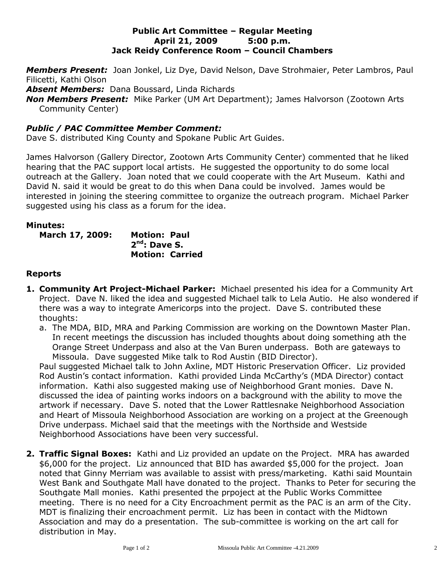#### **Public Art Committee – Regular Meeting April 21, 2009 5:00 p.m. Jack Reidy Conference Room – Council Chambers**

*Members Present:* Joan Jonkel, Liz Dye, David Nelson, Dave Strohmaier, Peter Lambros, Paul Filicetti, Kathi Olson

*Absent Members:* Dana Boussard, Linda Richards

*Non Members Present:* Mike Parker (UM Art Department); James Halvorson (Zootown Arts Community Center)

# *Public / PAC Committee Member Comment:*

Dave S. distributed King County and Spokane Public Art Guides.

James Halvorson (Gallery Director, Zootown Arts Community Center) commented that he liked hearing that the PAC support local artists. He suggested the opportunity to do some local outreach at the Gallery. Joan noted that we could cooperate with the Art Museum. Kathi and David N. said it would be great to do this when Dana could be involved. James would be interested in joining the steering committee to organize the outreach program. Michael Parker suggested using his class as a forum for the idea.

### **Minutes:**

**March 17, 2009: Motion: Paul 2 nd: Dave S. Motion: Carried**

### **Reports**

- **1. Community Art Project-Michael Parker:** Michael presented his idea for a Community Art Project. Dave N. liked the idea and suggested Michael talk to Lela Autio. He also wondered if there was a way to integrate Americorps into the project. Dave S. contributed these thoughts:
	- a. The MDA, BID, MRA and Parking Commission are working on the Downtown Master Plan. In recent meetings the discussion has included thoughts about doing something ath the Orange Street Underpass and also at the Van Buren underpass. Both are gateways to Missoula. Dave suggested Mike talk to Rod Austin (BID Director).

Paul suggested Michael talk to John Axline, MDT Historic Preservation Officer. Liz provided Rod Austin's contact information. Kathi provided Linda McCarthy's (MDA Director) contact information. Kathi also suggested making use of Neighborhood Grant monies. Dave N. discussed the idea of painting works indoors on a background with the ability to move the artwork if necessary. Dave S. noted that the Lower Rattlesnake Neighborhood Association and Heart of Missoula Neighborhood Association are working on a project at the Greenough Drive underpass. Michael said that the meetings with the Northside and Westside Neighborhood Associations have been very successful.

**2. Traffic Signal Boxes:** Kathi and Liz provided an update on the Project. MRA has awarded \$6,000 for the project. Liz announced that BID has awarded \$5,000 for the project. Joan noted that Ginny Merriam was available to assist with press/marketing. Kathi said Mountain West Bank and Southgate Mall have donated to the project. Thanks to Peter for securing the Southgate Mall monies. Kathi presented the prpoject at the Public Works Committee meeting. There is no need for a City Encroachment permit as the PAC is an arm of the City. MDT is finalizing their encroachment permit. Liz has been in contact with the Midtown Association and may do a presentation. The sub-committee is working on the art call for distribution in May.